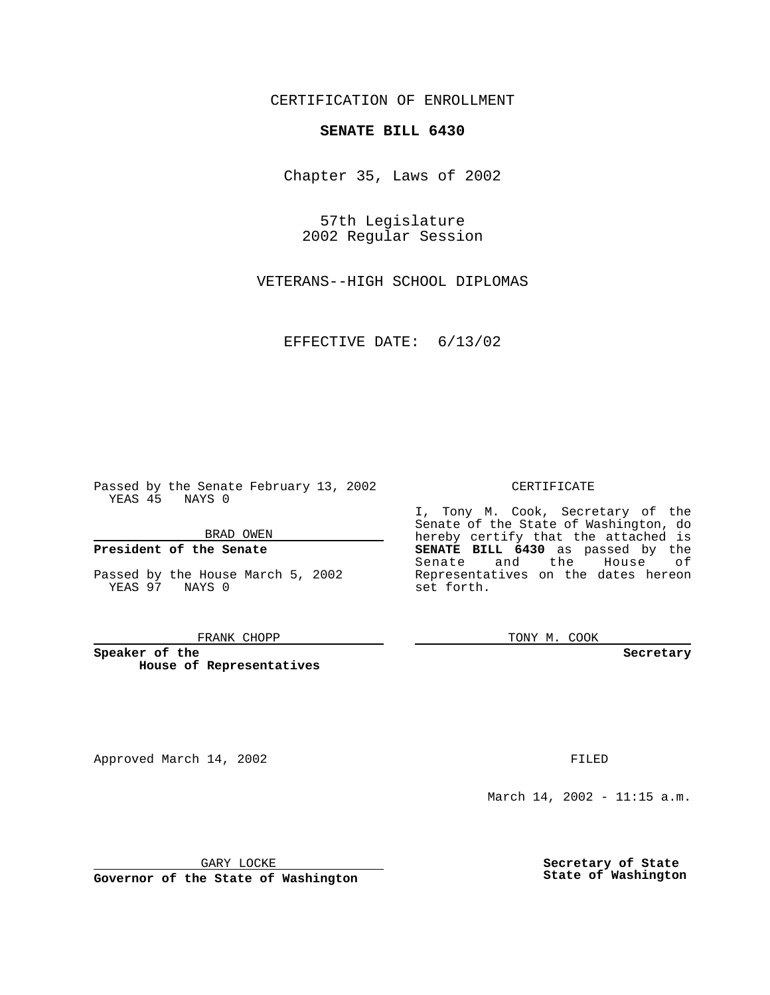CERTIFICATION OF ENROLLMENT

## **SENATE BILL 6430**

Chapter 35, Laws of 2002

57th Legislature 2002 Regular Session

VETERANS--HIGH SCHOOL DIPLOMAS

EFFECTIVE DATE: 6/13/02

Passed by the Senate February 13, 2002 YEAS 45 NAYS 0

BRAD OWEN

### **President of the Senate**

Passed by the House March 5, 2002 YEAS 97 NAYS 0

#### FRANK CHOPP

**Speaker of the House of Representatives**

Approved March 14, 2002 **FILED** 

### CERTIFICATE

I, Tony M. Cook, Secretary of the Senate of the State of Washington, do hereby certify that the attached is **SENATE BILL 6430** as passed by the Senate and the House of Representatives on the dates hereon set forth.

TONY M. COOK

**Secretary**

March 14, 2002 - 11:15 a.m.

GARY LOCKE

**Governor of the State of Washington**

**Secretary of State State of Washington**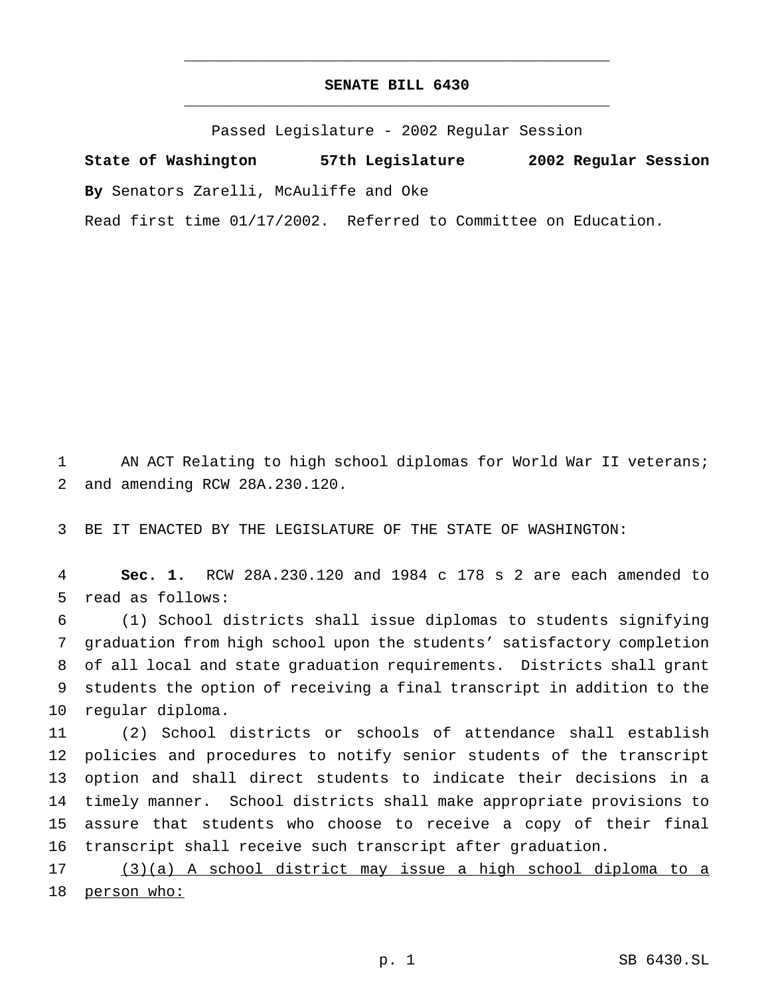# **SENATE BILL 6430** \_\_\_\_\_\_\_\_\_\_\_\_\_\_\_\_\_\_\_\_\_\_\_\_\_\_\_\_\_\_\_\_\_\_\_\_\_\_\_\_\_\_\_\_\_\_\_

\_\_\_\_\_\_\_\_\_\_\_\_\_\_\_\_\_\_\_\_\_\_\_\_\_\_\_\_\_\_\_\_\_\_\_\_\_\_\_\_\_\_\_\_\_\_\_

Passed Legislature - 2002 Regular Session

**State of Washington 57th Legislature 2002 Regular Session By** Senators Zarelli, McAuliffe and Oke

Read first time 01/17/2002. Referred to Committee on Education.

 AN ACT Relating to high school diplomas for World War II veterans; and amending RCW 28A.230.120.

BE IT ENACTED BY THE LEGISLATURE OF THE STATE OF WASHINGTON:

 **Sec. 1.** RCW 28A.230.120 and 1984 c 178 s 2 are each amended to read as follows:

 (1) School districts shall issue diplomas to students signifying graduation from high school upon the students' satisfactory completion of all local and state graduation requirements. Districts shall grant students the option of receiving a final transcript in addition to the regular diploma.

 (2) School districts or schools of attendance shall establish policies and procedures to notify senior students of the transcript option and shall direct students to indicate their decisions in a timely manner. School districts shall make appropriate provisions to assure that students who choose to receive a copy of their final transcript shall receive such transcript after graduation.

 (3)(a) A school district may issue a high school diploma to a 18 person who: